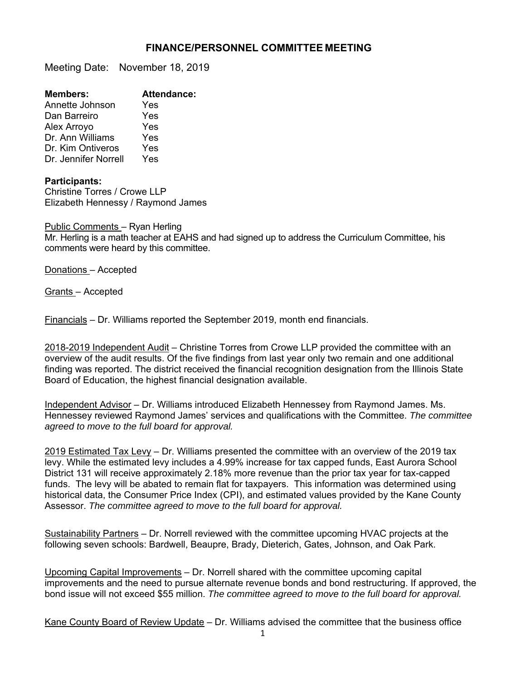## **FINANCE/PERSONNEL COMMITTEE MEETING**

Meeting Date: November 18, 2019

| <b>Members:</b>      | <b>Attendance:</b> |
|----------------------|--------------------|
| Annette Johnson      | Yes                |
| Dan Barreiro         | Yes                |
| Alex Arroyo          | Yes                |
| Dr. Ann Williams     | Yes                |
| Dr. Kim Ontiveros    | Yes                |
| Dr. Jennifer Norrell | Yes                |

## **Participants:**

Christine Torres / Crowe LLP Elizabeth Hennessy / Raymond James

Public Comments – Ryan Herling Mr. Herling is a math teacher at EAHS and had signed up to address the Curriculum Committee, his comments were heard by this committee.

Donations – Accepted

Grants – Accepted

Financials – Dr. Williams reported the September 2019, month end financials.

2018-2019 Independent Audit – Christine Torres from Crowe LLP provided the committee with an overview of the audit results. Of the five findings from last year only two remain and one additional finding was reported. The district received the financial recognition designation from the Illinois State Board of Education, the highest financial designation available.

Independent Advisor – Dr. Williams introduced Elizabeth Hennessey from Raymond James. Ms. Hennessey reviewed Raymond James' services and qualifications with the Committee. *The committee agreed to move to the full board for approval.* 

2019 Estimated Tax Levy – Dr. Williams presented the committee with an overview of the 2019 tax levy. While the estimated levy includes a 4.99% increase for tax capped funds, East Aurora School District 131 will receive approximately 2.18% more revenue than the prior tax year for tax-capped funds. The levy will be abated to remain flat for taxpayers. This information was determined using historical data, the Consumer Price Index (CPI), and estimated values provided by the Kane County Assessor. *The committee agreed to move to the full board for approval.*

Sustainability Partners - Dr. Norrell reviewed with the committee upcoming HVAC projects at the following seven schools: Bardwell, Beaupre, Brady, Dieterich, Gates, Johnson, and Oak Park.

Upcoming Capital Improvements – Dr. Norrell shared with the committee upcoming capital improvements and the need to pursue alternate revenue bonds and bond restructuring. If approved, the bond issue will not exceed \$55 million. *The committee agreed to move to the full board for approval.*

Kane County Board of Review Update – Dr. Williams advised the committee that the business office